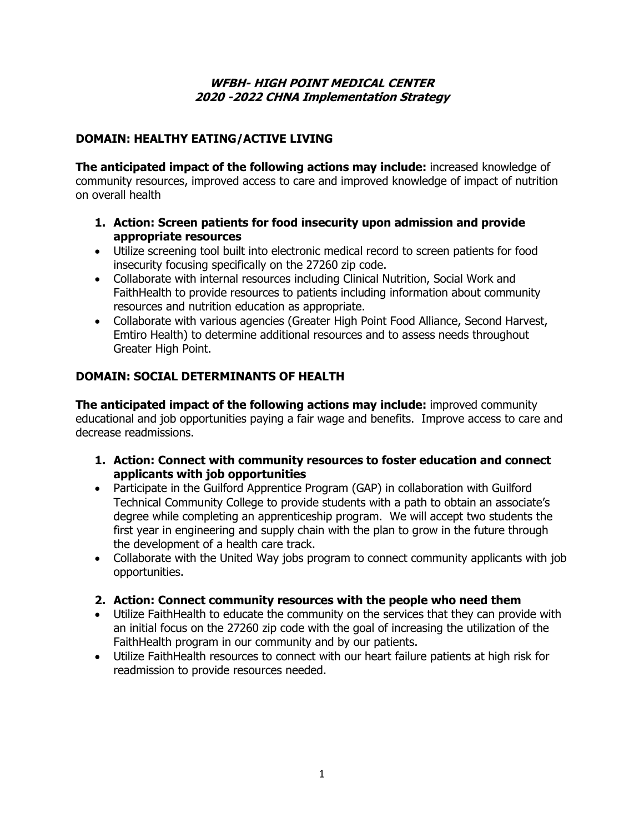#### **WFBH- HIGH POINT MEDICAL CENTER 2020 -2022 CHNA Implementation Strategy**

# **DOMAIN: HEALTHY EATING/ACTIVE LIVING**

**The anticipated impact of the following actions may include:** increased knowledge of community resources, improved access to care and improved knowledge of impact of nutrition on overall health

- **1. Action: Screen patients for food insecurity upon admission and provide appropriate resources**
- Utilize screening tool built into electronic medical record to screen patients for food insecurity focusing specifically on the 27260 zip code.
- Collaborate with internal resources including Clinical Nutrition, Social Work and FaithHealth to provide resources to patients including information about community resources and nutrition education as appropriate.
- Collaborate with various agencies (Greater High Point Food Alliance, Second Harvest, Emtiro Health) to determine additional resources and to assess needs throughout Greater High Point.

## **DOMAIN: SOCIAL DETERMINANTS OF HEALTH**

**The anticipated impact of the following actions may include:** improved community educational and job opportunities paying a fair wage and benefits. Improve access to care and decrease readmissions.

- **1. Action: Connect with community resources to foster education and connect applicants with job opportunities**
- Participate in the Guilford Apprentice Program (GAP) in collaboration with Guilford Technical Community College to provide students with a path to obtain an associate's degree while completing an apprenticeship program. We will accept two students the first year in engineering and supply chain with the plan to grow in the future through the development of a health care track.
- Collaborate with the United Way jobs program to connect community applicants with job opportunities.

### **2. Action: Connect community resources with the people who need them**

- Utilize FaithHealth to educate the community on the services that they can provide with an initial focus on the 27260 zip code with the goal of increasing the utilization of the FaithHealth program in our community and by our patients.
- Utilize FaithHealth resources to connect with our heart failure patients at high risk for readmission to provide resources needed.